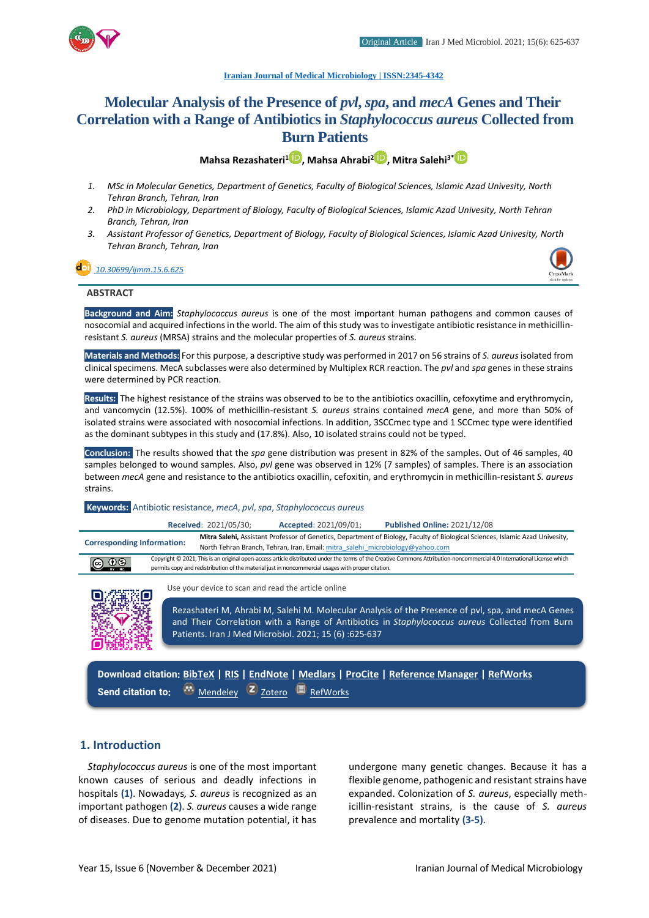

#### **[Iranian Journal of Medical Microbiology |](https://ijmm.ir/) ISSN:2345-4342**

# **Molecular Analysis of the Presence of** *pvl***,** *spa***, and** *mecA* **Genes and Their Correlation with a Range of Antibiotics in** *Staphylococcus aureus* **Collected from Burn Patients**

**Mahsa Rezashateri[1](http://orcid.org/0000000254062050) , Mahsa Ahrabi[2](http://orcid.org/0000000300573290) , Mitra Salehi3\***

- *1. MSc in Molecular Genetics, Department of Genetics, Faculty of Biological Sciences, Islamic Azad Univesity, North Tehran Branch, Tehran, Iran*
- *2. PhD in Microbiology, Department of Biology, Faculty of Biological Sciences, Islamic Azad Univesity, North Tehran Branch, Tehran, Iran*
- *3. Assistant Professor of Genetics, Department of Biology, Faculty of Biological Sciences, Islamic Azad Univesity, North Tehran Branch, Tehran, Iran*

#### *[10.30699/ijmm.15.6.625](http://dx.doi.org/10.30699/ijmm.15.6.625)*



#### **ABSTRACT**

**Background and Aim:** *Staphylococcus aureus* is one of the most important human pathogens and common causes of nosocomial and acquired infections in the world. The aim of this study was to investigate antibiotic resistance in methicillinresistant *S. aureus* (MRSA) strains and the molecular properties of *S. aureus* strains.

**Materials and Methods:** For this purpose, a descriptive study was performed in 2017 on 56 strains of *S. aureus* isolated from clinical specimens. MecA subclasses were also determined by Multiplex RCR reaction. The *pvl* and *spa* genes in these strains were determined by PCR reaction.

**Results:** The highest resistance of the strains was observed to be to the antibiotics oxacillin, cefoxytime and erythromycin, and vancomycin (12.5%). 100% of methicillin-resistant *S. aureus* strains contained *mecA* gene, and more than 50% of isolated strains were associated with nosocomial infections. In addition, 3SCCmec type and 1 SCCmec type were identified as the dominant subtypes in this study and (17.8%). Also, 10 isolated strains could not be typed.

**Conclusion:** The results showed that the *spa* gene distribution was present in 82% of the samples. Out of 46 samples, 40 samples belonged to wound samples. Also, *pvl* gene was observed in 12% (7 samples) of samples. There is an association between *mecA* gene and resistance to the antibiotics oxacillin, cefoxitin, and erythromycin in methicillin-resistant *S. aureus* strains.

#### **Keywords:** Antibiotic resistance, *mecA*, *pvl*, *spa*, *Staphylococcus aureus*

|                                                                                                                    |                                                                                                                                                                                                                                                                               | Received: 2021/05/30; | Accepted: 2021/09/01; | <b>Published Online: 2021/12/08</b>                                                                                           |  |
|--------------------------------------------------------------------------------------------------------------------|-------------------------------------------------------------------------------------------------------------------------------------------------------------------------------------------------------------------------------------------------------------------------------|-----------------------|-----------------------|-------------------------------------------------------------------------------------------------------------------------------|--|
| <b>Corresponding Information:</b><br>North Tehran Branch, Tehran, Iran, Email: mitra salehi microbiology@yahoo.com |                                                                                                                                                                                                                                                                               |                       |                       | Mitra Salehi, Assistant Professor of Genetics, Department of Biology, Faculty of Biological Sciences, Islamic Azad Univesity, |  |
| $\bigcirc$ $\bigcirc$ $\bigcirc$                                                                                   | Copyright © 2021, This is an original open-access article distributed under the terms of the Creative Commons Attribution-noncommercial 4.0 International License which<br>permits copy and redistribution of the material just in noncommercial usages with proper citation. |                       |                       |                                                                                                                               |  |



Use your device to scan and read the article online

Rezashateri M, Ahrabi M, Salehi M. Molecular Analysis of the Presence of pvl, spa, and mecA Genes and Their Correlation with a Range of Antibiotics in *Staphylococcus aureus* Collected from Burn Patients. Iran J Med Microbiol. 2021; 15 (6) :625-637

**Download citation: [BibTeX](https://ijmm.ir/web2export.php?a_code=A-10-1624-1&sid=1&slc_lang=en&type=BibTeX) | [RIS](https://ijmm.ir/web2export.php?a_code=A-10-1624-1&sid=1&slc_lang=en&type=ris) | [EndNote](https://ijmm.ir/web2export.php?a_code=A-10-1624-1&sid=1&slc_lang=en&type=EndNote) | [Medlars](https://ijmm.ir/web2export.php?a_code=A-10-1624-1&sid=1&slc_lang=en&type=Medlars) | [ProCite](https://ijmm.ir/web2export.php?a_code=A-10-1624-1&sid=1&slc_lang=en&type=ProCite) | [Reference Manager](https://ijmm.ir/web2export.php?a_code=A-10-1624-1&sid=1&slc_lang=en&type=Reference_Manager) | [RefWorks](https://ijmm.ir/web2export.php?a_code=A-10-1624-1&sid=1&slc_lang=en&type=RefWorks) Send citation to:**  $\bullet$  [Mendeley](http://www.mendeley.com/import/?url=https://ijmm.ir/article-1-1350-en.html) **Z** [Zotero](https://ijmm.ir/web2export.php?a_code=A-10-1624-1&sid=1&slc_lang=en&type=ris) **E** [RefWorks](http://www.refworks.com/express/ExpressImport.asp?vendor=Iran-J-Med-Microbiol&filter=RefWorks%20Tagged%20Format&encoding=65001&url=http%3A%2F%2Fijmm.ir%2Farticle-1-1350-en.html)

#### **1. Introduction**

*Staphylococcus aureus* is one of the most important known causes of serious and deadly infections in hospitals **(1)**. Nowadays*, S. aureus* is recognized as an important pathogen **(2)**. *S. aureus* causes a wide range of diseases. Due to genome mutation potential, it has

undergone many genetic changes. Because it has a flexible genome, pathogenic and resistant strains have expanded. Colonization of *S. aureus*, especially methicillin-resistant strains, is the cause of *S. aureus* prevalence and mortality **(3-5)**.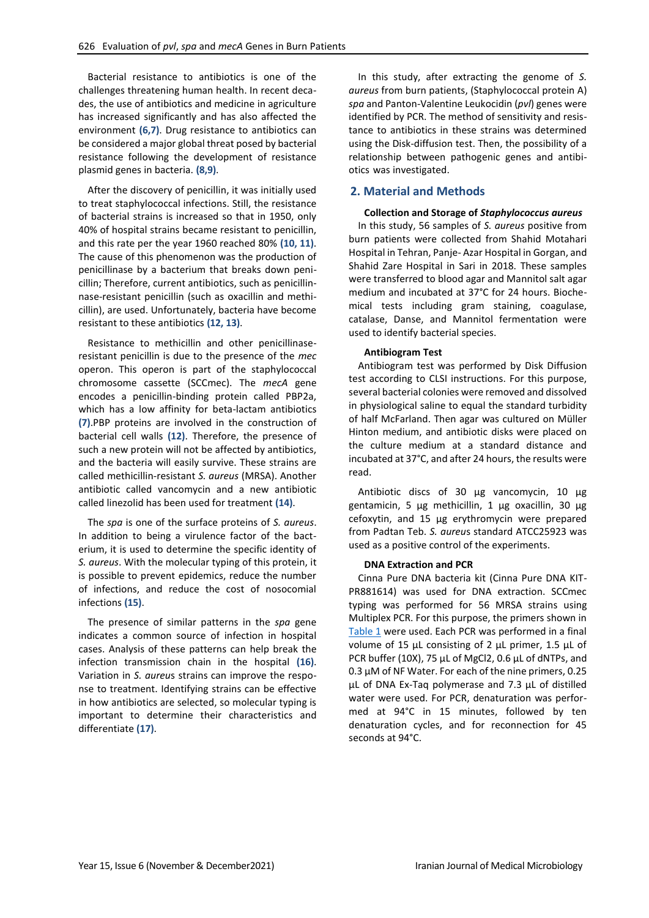Bacterial resistance to antibiotics is one of the challenges threatening human health. In recent decades, the use of antibiotics and medicine in agriculture has increased significantly and has also affected the environment **(6,7)**. Drug resistance to antibiotics can be considered a major global threat posed by bacterial resistance following the development of resistance plasmid genes in bacteria. **(8,9)**.

After the discovery of penicillin, it was initially used to treat staphylococcal infections. Still, the resistance of bacterial strains is increased so that in 1950, only 40% of hospital strains became resistant to penicillin, and this rate per the year 1960 reached 80% **(10, 11)**. The cause of this phenomenon was the production of penicillinase by a bacterium that breaks down penicillin; Therefore, current antibiotics, such as penicillinnase-resistant penicillin (such as oxacillin and methicillin), are used. Unfortunately, bacteria have become resistant to these antibiotics **(12, 13)**.

Resistance to methicillin and other penicillinaseresistant penicillin is due to the presence of the *mec* operon. This operon is part of the staphylococcal chromosome cassette (SCCmec). The *mecA* gene encodes a penicillin-binding protein called PBP2a, which has a low affinity for beta-lactam antibiotics **(7)**.PBP proteins are involved in the construction of bacterial cell walls **(12)**. Therefore, the presence of such a new protein will not be affected by antibiotics, and the bacteria will easily survive. These strains are called methicillin-resistant *S. aureus* (MRSA). Another antibiotic called vancomycin and a new antibiotic called linezolid has been used for treatment **(14)**.

The *spa* is one of the surface proteins of *S. aureus*. In addition to being a virulence factor of the bacterium, it is used to determine the specific identity of *S. aureus*. With the molecular typing of this protein, it is possible to prevent epidemics, reduce the number of infections, and reduce the cost of nosocomial infections **(15)**.

The presence of similar patterns in the *spa* gene indicates a common source of infection in hospital cases. Analysis of these patterns can help break the infection transmission chain in the hospital **(16)**. Variation in *S. aureu*s strains can improve the response to treatment. Identifying strains can be effective in how antibiotics are selected, so molecular typing is important to determine their characteristics and differentiate **(17)**.

In this study, after extracting the genome of *S. aureus* from burn patients, (Staphylococcal protein A) *spa* and Panton-Valentine Leukocidin (*pvl*) genes were identified by PCR. The method of sensitivity and resistance to antibiotics in these strains was determined using the Disk-diffusion test. Then, the possibility of a relationship between pathogenic genes and antibiotics was investigated.

#### **2. Material and Methods**

#### **Collection and Storage of** *Staphylococcus aureus*

In this study, 56 samples of *S. aureus* positive from burn patients were collected from Shahid Motahari Hospital in Tehran, Panje- Azar Hospital in Gorgan, and Shahid Zare Hospital in Sari in 2018. These samples were transferred to blood agar and Mannitol salt agar medium and incubated at 37°C for 24 hours. Biochemical tests including gram staining, coagulase, catalase, Danse, and Mannitol fermentation were used to identify bacterial species.

#### **Antibiogram Test**

Antibiogram test was performed by Disk Diffusion test according to CLSI instructions. For this purpose, several bacterial colonies were removed and dissolved in physiological saline to equal the standard turbidity of half McFarland. Then agar was cultured on Müller Hinton medium, and antibiotic disks were placed on the culture medium at a standard distance and incubated at 37°C, and after 24 hours, the results were read.

Antibiotic discs of 30 μg vancomycin, 10 μg gentamicin, 5 μg methicillin, 1 μg oxacillin, 30 μg cefoxytin, and 15 μg erythromycin were prepared from Padtan Teb. *S. aureu*s standard ATCC25923 was used as a positive control of the experiments.

#### **DNA Extraction and PCR**

Cinna Pure DNA bacteria kit (Cinna Pure DNA KIT-PR881614) was used for DNA extraction. SCCmec typing was performed for 56 MRSA strains using Multiplex PCR. For this purpose, the primers shown in [Table 1](#page-2-0) were used. Each PCR was performed in a final volume of 15 μL consisting of 2 μL primer, 1.5 μL of PCR buffer (10X), 75 μL of MgCl2, 0.6 μL of dNTPs, and 0.3 μM of NF Water. For each of the nine primers, 0.25 μL of DNA Ex-Taq polymerase and 7.3 μL of distilled water were used. For PCR, denaturation was performed at 94°C in 15 minutes, followed by ten denaturation cycles, and for reconnection for 45 seconds at 94°C.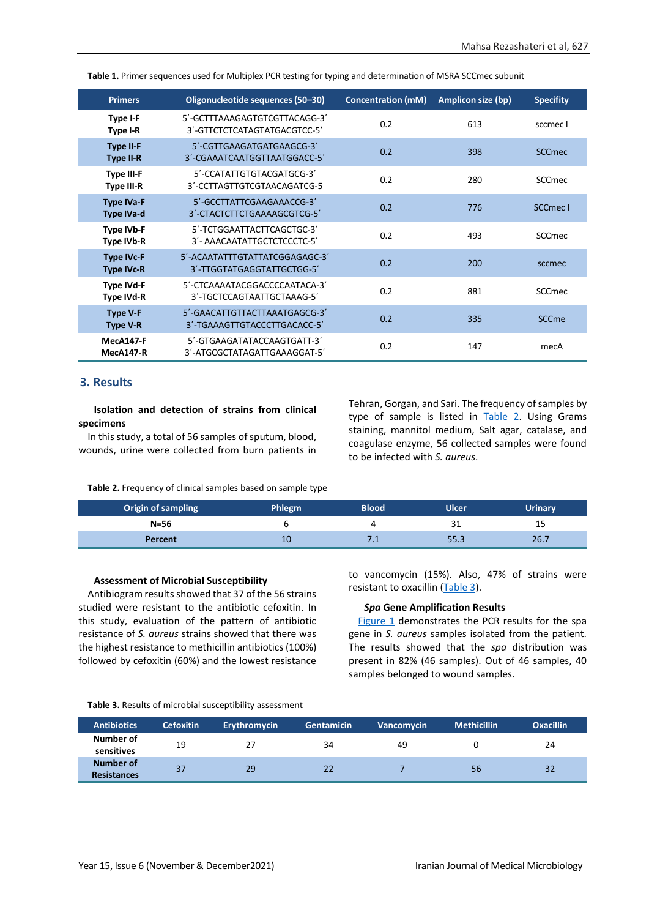| <b>Primers</b>                         | Oligonucleotide sequences (50-30)                             | <b>Concentration (mM)</b> | <b>Amplicon size (bp)</b> | <b>Specifity</b>    |
|----------------------------------------|---------------------------------------------------------------|---------------------------|---------------------------|---------------------|
| Type I-F<br>Type I-R                   | 5'-GCTTTAAAGAGTGTCGTTACAGG-3'<br>3'-GITCICICATAGTATGACGICC-5' | 0.2                       | 613                       | sccmec I            |
| <b>Type II-F</b><br><b>Type II-R</b>   | 5'-CGTTGAAGATGATGAAGCG-3'<br>3'-CGAAATCAATGGTTAATGGACC-5'     | 0.2                       | 398                       | <b>SCCmec</b>       |
| <b>Type III-F</b><br><b>Type III-R</b> | 5'-CCATATTGTGTACGATGCG-3'<br>3'-CCTTAGTTGTCGTAACAGATCG-5      | 0.2                       | 280                       | <b>SCCmec</b>       |
| <b>Type IVa-F</b><br><b>Type IVa-d</b> | 5'-GCCTTATTCGAAGAAACCG-3'<br>3'-CTACTCTTCTGAAAAGCGTCG-5'      | 0.2                       | 776                       | SCCmec <sub>1</sub> |
| <b>Type IVb-F</b><br><b>Type IVb-R</b> | 5'-TCTGGAATTACTTCAGCTGC-3'<br>3'- AAACAATATTGCTCTCCCTC-5'     | 0.2                       | 493                       | SCCmec              |
| <b>Type IVc-F</b><br><b>Type IVc-R</b> | 5'-ACAATATTTGTATTATCGGAGAGC-3'<br>3'-TTGGTATGAGGTATTGCTGG-5'  | 0.2                       | 200                       | sccmec              |
| <b>Type IVd-F</b><br><b>Type IVd-R</b> | 5'-CTCAAAATACGGACCCCAATACA-3'<br>3'-TGCTCCAGTAATTGCTAAAG-5'   | 0.2                       | 881                       | SCCmec              |
| <b>Type V-F</b><br><b>Type V-R</b>     | 5'-GAACATTGTTACTTAAATGAGCG-3'<br>3'-TGAAAGTTGTACCCTTGACACC-5' | 0.2                       | 335                       | SCCme               |
| MecA147-F<br><b>MecA147-R</b>          | 5'-GTGAAGATATACCAAGTGATT-3'<br>3'-ATGCGCTATAGATTGAAAGGAT-5'   | 0.2                       | 147                       | mecA                |

<span id="page-2-0"></span>**Table 1.** Primer sequences used for Multiplex PCR testing for typing and determination of MSRA SCCmec subunit

### **3. Results**

**Isolation and detection of strains from clinical specimens**

In this study, a total of 56 samples of sputum, blood, wounds, urine were collected from burn patients in Tehran, Gorgan, and Sari. The frequency of samples by type of sample is listed in [Table 2.](#page-2-1) Using Grams staining, mannitol medium, Salt agar, catalase, and coagulase enzyme, 56 collected samples were found to be infected with *S. aureus*.

<span id="page-2-1"></span>**Table 2.** Frequency of clinical samples based on sample type

| <b>Origin of sampling</b> | Phlegm | <b>Blood</b> | Ulcer. | <b>Urinary</b> |
|---------------------------|--------|--------------|--------|----------------|
| $N = 56$                  |        |              | 31     | 15             |
| Percent                   | 10     |              | 55.3   | 26.7           |

#### **Assessment of Microbial Susceptibility**

Antibiogram results showed that 37 of the 56 strains studied were resistant to the antibiotic cefoxitin. In this study, evaluation of the pattern of antibiotic resistance of *S. aureus* strains showed that there was the highest resistance to methicillin antibiotics (100%) followed by cefoxitin (60%) and the lowest resistance

to vancomycin (15%). Also, 47% of strains were resistant to oxacillin [\(Table 3\)](#page-2-2).

#### *Spa* **Gene Amplification Results**

[Figure 1](#page-3-0) demonstrates the PCR results for the spa gene in *S. aureus* samples isolated from the patient. The results showed that the *spa* distribution was present in 82% (46 samples). Out of 46 samples, 40 samples belonged to wound samples.

<span id="page-2-2"></span>**Table 3.** Results of microbial susceptibility assessment

| <b>Antibiotics</b>              | <b>Cefoxitin</b> | <b>Erythromycin</b> | <b>Gentamicin</b> | <b>Vancomycin</b> | <b>Methicillin</b> | <b>Oxacillin</b> |
|---------------------------------|------------------|---------------------|-------------------|-------------------|--------------------|------------------|
| Number of<br>sensitives         | 19               | 27                  | 34                | 49                |                    | 24               |
| Number of<br><b>Resistances</b> | 37               | 29                  |                   |                   | 56                 | 32               |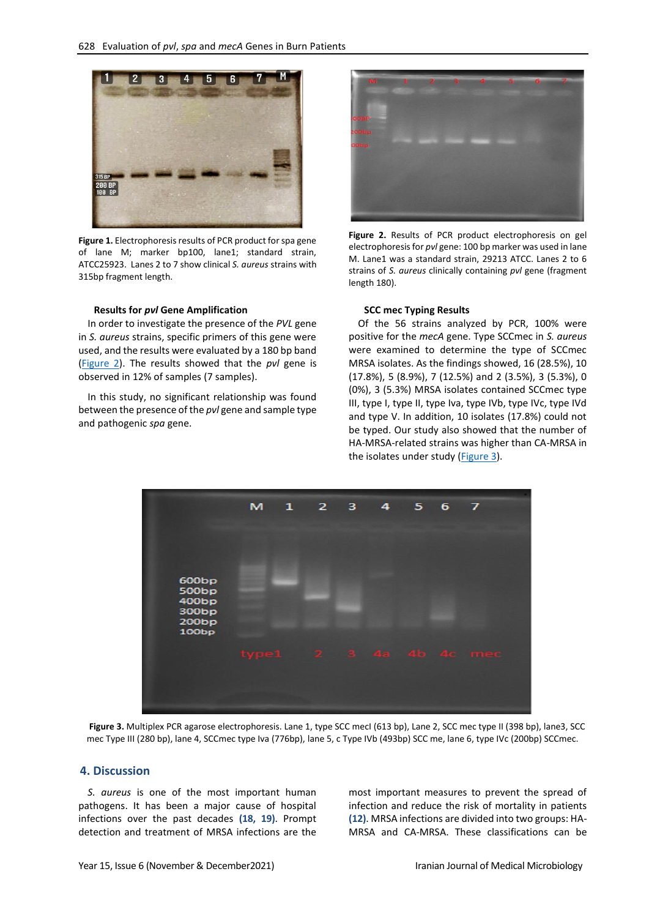

**Figure 1.** Electrophoresis results of PCR product for spa gene of lane M; marker bp100, lane1; standard strain, ATCC25923. Lanes 2 to 7 show clinical *S. aureus* strains with 315bp fragment length.

#### <span id="page-3-0"></span>**Results for** *pvl* **Gene Amplification**

In order to investigate the presence of the *PVL* gene in *S. aureus* strains, specific primers of this gene were used, and the results were evaluated by a 180 bp band [\(Figure 2\)](#page-3-1). The results showed that the *pvl* gene is observed in 12% of samples (7 samples).

In this study, no significant relationship was found between the presence of the *pvl* gene and sample type and pathogenic *spa* gene.



**Figure 2.** Results of PCR product electrophoresis on gel electrophoresis for *pvl* gene: 100 bp marker was used in lane M. Lane1 was a standard strain, 29213 ATCC. Lanes 2 to 6 strains of *S. aureus* clinically containing *pvl* gene (fragment length 180).

#### <span id="page-3-1"></span>**SCC mec Typing Results**

Of the 56 strains analyzed by PCR, 100% were positive for the *mecA* gene. Type SCCmec in *S. aureus* were examined to determine the type of SCCmec MRSA isolates. As the findings showed, 16 (28.5%), 10 (17.8%), 5 (8.9%), 7 (12.5%) and 2 (3.5%), 3 (5.3%), 0 (0%), 3 (5.3%) MRSA isolates contained SCCmec type III, type I, type II, type Iva, type IVb, type IVc, type IVd and type V. In addition, 10 isolates (17.8%) could not be typed. Our study also showed that the number of HA-MRSA-related strains was higher than CA-MRSA in the isolates under study ( $Figure 3$ ).



<span id="page-3-2"></span>Figure 3. Multiplex PCR agarose electrophoresis. Lane 1, type SCC mecI (613 bp), Lane 2, SCC mec type II (398 bp), lane3, SCC mec Type III (280 bp), lane 4, SCCmec type Iva (776bp), lane 5, c Type IVb (493bp) SCC me, lane 6, type IVc (200bp) SCCmec.

### **4. Discussion**

*S. aureus* is one of the most important human pathogens. It has been a major cause of hospital infections over the past decades **(18, 19)**. Prompt detection and treatment of MRSA infections are the

most important measures to prevent the spread of infection and reduce the risk of mortality in patients **(12)**. MRSA infections are divided into two groups: HA-MRSA and CA-MRSA. These classifications can be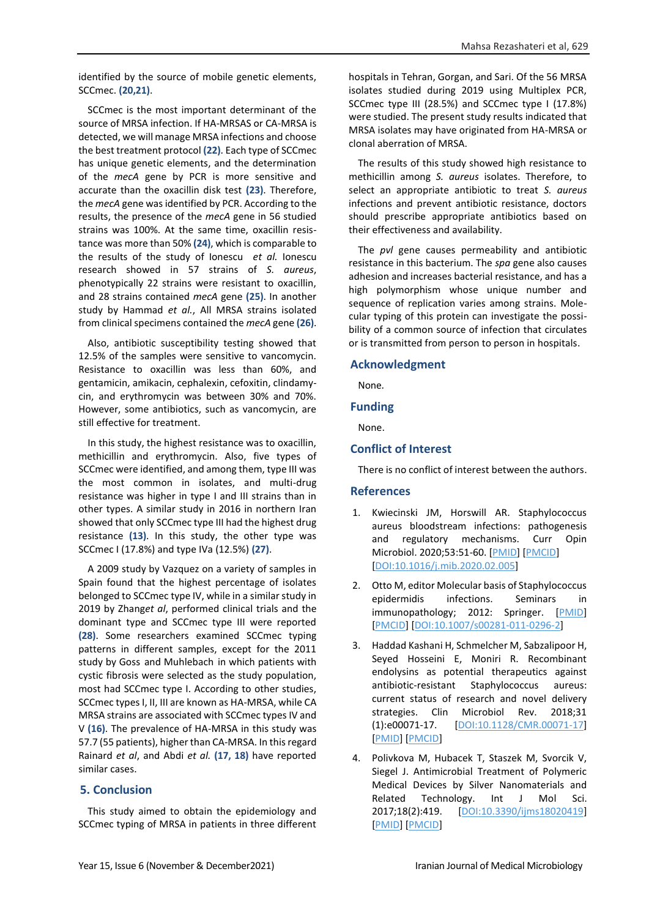identified by the source of mobile genetic elements, SCCmec. **(20,21)**.

SCCmec is the most important determinant of the source of MRSA infection. If HA-MRSAS or CA-MRSA is detected, we will manage MRSA infections and choose the best treatment protocol **(22)**. Each type of SCCmec has unique genetic elements, and the determination of the *mecA* gene by PCR is more sensitive and accurate than the oxacillin disk test **(23)**. Therefore, the *mecA* gene was identified by PCR. According to the results, the presence of the *mecA* gene in 56 studied strains was 100%. At the same time, oxacillin resistance was more than 50% **(24)**, which is comparable to the results of the study of Ionescu *et al.* Ionescu research showed in 57 strains of *S. aureus*, phenotypically 22 strains were resistant to oxacillin, and 28 strains contained *mecA* gene **(25)**. In another study by Hammad *et al.*, All MRSA strains isolated from clinical specimens contained the *mecA* gene **(26)**.

Also, antibiotic susceptibility testing showed that 12.5% of the samples were sensitive to vancomycin. Resistance to oxacillin was less than 60%, and gentamicin, amikacin, cephalexin, cefoxitin, clindamycin, and erythromycin was between 30% and 70%. However, some antibiotics, such as vancomycin, are still effective for treatment.

In this study, the highest resistance was to oxacillin, methicillin and erythromycin. Also, five types of SCCmec were identified, and among them, type III was the most common in isolates, and multi-drug resistance was higher in type I and III strains than in other types. A similar study in 2016 in northern Iran showed that only SCCmec type III had the highest drug resistance **(13)**. In this study, the other type was SCCmec I (17.8%) and type IVa (12.5%) **(27)**.

A 2009 study by Vazquez on a variety of samples in Spain found that the highest percentage of isolates belonged to SCCmec type IV, while in a similar study in 2019 by Zhang*et al*, performed clinical trials and the dominant type and SCCmec type III were reported **(28)**. Some researchers examined SCCmec typing patterns in different samples, except for the 2011 study by Goss and Muhlebach in which patients with cystic fibrosis were selected as the study population, most had SCCmec type I. According to other studies, SCCmec types I, II, III are known as HA-MRSA, while CA MRSA strains are associated with SCCmec types IV and V **(16)**. The prevalence of HA-MRSA in this study was 57.7 (55 patients), higher than CA-MRSA. In this regard Rainard *et al*, and Abdi *et al.* **(17, 18)** have reported similar cases.

# **5. Conclusion**

This study aimed to obtain the epidemiology and SCCmec typing of MRSA in patients in three different

hospitals in Tehran, Gorgan, and Sari. Of the 56 MRSA isolates studied during 2019 using Multiplex PCR, SCCmec type III (28.5%) and SCCmec type I (17.8%) were studied. The present study results indicated that MRSA isolates may have originated from HA-MRSA or clonal aberration of MRSA.

The results of this study showed high resistance to methicillin among *S. aureus* isolates. Therefore, to select an appropriate antibiotic to treat *S. aureus* infections and prevent antibiotic resistance, doctors should prescribe appropriate antibiotics based on their effectiveness and availability.

The *pvl* gene causes permeability and antibiotic resistance in this bacterium. The *spa* gene also causes adhesion and increases bacterial resistance, and has a high polymorphism whose unique number and sequence of replication varies among strains. Molecular typing of this protein can investigate the possibility of a common source of infection that circulates or is transmitted from person to person in hospitals.

### **Acknowledgment**

None.

# **Funding**

None.

# **Conflict of Interest**

There is no conflict of interest between the authors.

# **References**

- 1. Kwiecinski JM, Horswill AR. Staphylococcus aureus bloodstream infections: pathogenesis and regulatory mechanisms. Curr Opin Microbiol. 2020;53:51-60. [\[PMID\]](https://www.ncbi.nlm.nih.gov/pubmed/32172183) [\[PMCID\]](http://www.ncbi.nlm.nih.gov/pmc/articles/PMC7244392) [\[DOI:10.1016/j.mib.2020.02.005\]](https://doi.org/10.1016/j.mib.2020.02.005)
- 2. Otto M, editor Molecular basis of Staphylococcus epidermidis infections. Seminars in immunopathology; 2012: Springer. [\[PMID\]](https://www.ncbi.nlm.nih.gov/pubmed/22095240) [\[PMCID\]](http://www.ncbi.nlm.nih.gov/pmc/articles/PMC3272124) [\[DOI:10.1007/s00281-011-0296-2\]](https://doi.org/10.1007/s00281-011-0296-2)
- 3. Haddad Kashani H, Schmelcher M, Sabzalipoor H, Seyed Hosseini E, Moniri R. Recombinant endolysins as potential therapeutics against antibiotic-resistant Staphylococcus aureus: current status of research and novel delivery strategies. Clin Microbiol Rev. 2018;31 (1):e00071-17. [\[DOI:10.1128/CMR.00071-17\]](https://doi.org/10.1128/CMR.00071-17) [\[PMID\]](https://www.ncbi.nlm.nih.gov/pubmed/29187396) [\[PMCID\]](http://www.ncbi.nlm.nih.gov/pmc/articles/PMC5740972)
- 4. Polivkova M, Hubacek T, Staszek M, Svorcik V, Siegel J. Antimicrobial Treatment of Polymeric Medical Devices by Silver Nanomaterials and Related Technology. Int J Mol Sci. 2017;18(2):419. [\[DOI:10.3390/ijms18020419\]](https://doi.org/10.3390/ijms18020419) [\[PMID\]](https://www.ncbi.nlm.nih.gov/pubmed/28212308) [\[PMCID\]](http://www.ncbi.nlm.nih.gov/pmc/articles/PMC5343953)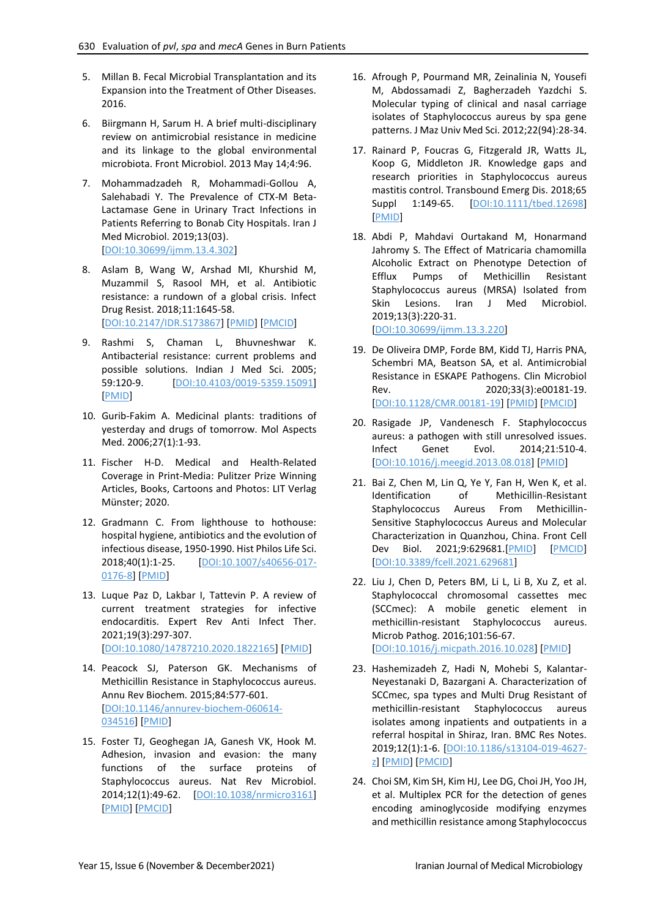- 5. Millan B. Fecal Microbial Transplantation and its Expansion into the Treatment of Other Diseases. 2016.
- 6. Biirgmann H, Sarum H. A brief multi-disciplinary review on antimicrobial resistance in medicine and its linkage to the global environmental microbiota. Front Microbiol. 2013 May 14;4:96.
- 7. Mohammadzadeh R, Mohammadi-Gollou A, Salehabadi Y. The Prevalence of CTX-M Beta-Lactamase Gene in Urinary Tract Infections in Patients Referring to Bonab City Hospitals. Iran J Med Microbiol. 2019;13(03). [\[DOI:10.30699/ijmm.13.4.302\]](https://doi.org/10.30699/ijmm.13.4.302)
- 8. Aslam B, Wang W, Arshad MI, Khurshid M, Muzammil S, Rasool MH, et al. Antibiotic resistance: a rundown of a global crisis. Infect Drug Resist. 2018;11:1645-58. [\[DOI:10.2147/IDR.S173867\]](https://doi.org/10.2147/IDR.S173867) [\[PMID\]](https://www.ncbi.nlm.nih.gov/pubmed/30349322) [\[PMCID\]](http://www.ncbi.nlm.nih.gov/pmc/articles/PMC6188119)
- 9. Rashmi S, Chaman L, Bhuvneshwar K. Antibacterial resistance: current problems and possible solutions. Indian J Med Sci. 2005; 59:120-9. [\[DOI:10.4103/0019-5359.15091\]](https://doi.org/10.4103/0019-5359.15091) PMID
- 10. Gurib-Fakim A. Medicinal plants: traditions of yesterday and drugs of tomorrow. Mol Aspects Med. 2006;27(1):1-93.
- 11. Fischer H-D. Medical and Health-Related Coverage in Print-Media: Pulitzer Prize Winning Articles, Books, Cartoons and Photos: LIT Verlag Münster; 2020.
- 12. Gradmann C. From lighthouse to hothouse: hospital hygiene, antibiotics and the evolution of infectious disease, 1950-1990. Hist Philos Life Sci. 2018;40(1):1-25. [\[DOI:10.1007/s40656-017-](https://doi.org/10.1007/s40656-017-0176-8) [0176-8\]](https://doi.org/10.1007/s40656-017-0176-8) [\[PMID\]](https://www.ncbi.nlm.nih.gov/pubmed/29181597)
- 13. Luque Paz D, Lakbar I, Tattevin P. A review of current treatment strategies for infective endocarditis. Expert Rev Anti Infect Ther. 2021;19(3):297-307. [\[DOI:10.1080/14787210.2020.1822165\]](https://doi.org/10.1080/14787210.2020.1822165) [\[PMID\]](https://www.ncbi.nlm.nih.gov/pubmed/32901532)
- 14. Peacock SJ, Paterson GK. Mechanisms of Methicillin Resistance in Staphylococcus aureus. Annu Rev Biochem. 2015;84:577-601. [\[DOI:10.1146/annurev-biochem-060614-](https://doi.org/10.1146/annurev-biochem-060614-034516) [034516\]](https://doi.org/10.1146/annurev-biochem-060614-034516) [\[PMID\]](https://www.ncbi.nlm.nih.gov/pubmed/26034890)
- 15. Foster TJ, Geoghegan JA, Ganesh VK, Hook M. Adhesion, invasion and evasion: the many functions of the surface proteins of Staphylococcus aureus. Nat Rev Microbiol. 2014;12(1):49-62. [\[DOI:10.1038/nrmicro3161\]](https://doi.org/10.1038/nrmicro3161) [\[PMID\]](https://www.ncbi.nlm.nih.gov/pubmed/24336184) [\[PMCID\]](http://www.ncbi.nlm.nih.gov/pmc/articles/PMC5708296)
- 16. Afrough P, Pourmand MR, Zeinalinia N, Yousefi M, Abdossamadi Z, Bagherzadeh Yazdchi S. Molecular typing of clinical and nasal carriage isolates of Staphylococcus aureus by spa gene patterns. J Maz Univ Med Sci. 2012;22(94):28-34.
- 17. Rainard P, Foucras G, Fitzgerald JR, Watts JL, Koop G, Middleton JR. Knowledge gaps and research priorities in Staphylococcus aureus mastitis control. Transbound Emerg Dis. 2018;65 Suppl 1:149-65. **DOI:10.1111/tbed.12698** [\[PMID\]](https://www.ncbi.nlm.nih.gov/pubmed/28984427)
- 18. Abdi P, Mahdavi Ourtakand M, Honarmand Jahromy S. The Effect of Matricaria chamomilla Alcoholic Extract on Phenotype Detection of Efflux Pumps of Methicillin Resistant Staphylococcus aureus (MRSA) Isolated from Skin Lesions. Iran J Med Microbiol. 2019;13(3):220-31. [\[DOI:10.30699/ijmm.13.3.220\]](https://doi.org/10.30699/ijmm.13.3.220)
- 19. De Oliveira DMP, Forde BM, Kidd TJ, Harris PNA, Schembri MA, Beatson SA, et al. Antimicrobial Resistance in ESKAPE Pathogens. Clin Microbiol Rev. 2020;33(3):e00181-19. [\[DOI:10.1128/CMR.00181-19\]](https://doi.org/10.1128/CMR.00181-19) [\[PMID\]](https://www.ncbi.nlm.nih.gov/pubmed/32404435) [\[PMCID\]](http://www.ncbi.nlm.nih.gov/pmc/articles/PMC7227449)
- 20. Rasigade JP, Vandenesch F. Staphylococcus aureus: a pathogen with still unresolved issues. Infect Genet Evol. 2014;21:510-4. [\[DOI:10.1016/j.meegid.2013.08.018\]](https://doi.org/10.1016/j.meegid.2013.08.018) [\[PMID\]](https://www.ncbi.nlm.nih.gov/pubmed/23994773)
- 21. Bai Z, Chen M, Lin Q, Ye Y, Fan H, Wen K, et al. Identification of Methicillin-Resistant Staphylococcus Aureus From Methicillin-Sensitive Staphylococcus Aureus and Molecular Characterization in Quanzhou, China. Front Cell Dev Biol. 2021;9:629681.[\[PMID\]](https://www.ncbi.nlm.nih.gov/pubmed/33553185) [\[PMCID\]](http://www.ncbi.nlm.nih.gov/pmc/articles/PMC7858276) [\[DOI:10.3389/fcell.2021.629681\]](https://doi.org/10.3389/fcell.2021.629681)
- 22. Liu J, Chen D, Peters BM, Li L, Li B, Xu Z, et al. Staphylococcal chromosomal cassettes mec (SCCmec): A mobile genetic element in methicillin-resistant Staphylococcus aureus. Microb Pathog. 2016;101:56-67. [\[DOI:10.1016/j.micpath.2016.10.028\]](https://doi.org/10.1016/j.micpath.2016.10.028) [\[PMID\]](https://www.ncbi.nlm.nih.gov/pubmed/27836760)
- 23. Hashemizadeh Z, Hadi N, Mohebi S, Kalantar-Neyestanaki D, Bazargani A. Characterization of SCCmec, spa types and Multi Drug Resistant of methicillin-resistant Staphylococcus aureus isolates among inpatients and outpatients in a referral hospital in Shiraz, Iran. BMC Res Notes. 2019;12(1):1-6. [\[DOI:10.1186/s13104-019-4627](https://doi.org/10.1186/s13104-019-4627-z) [z\]](https://doi.org/10.1186/s13104-019-4627-z) [\[PMID\]](https://www.ncbi.nlm.nih.gov/pubmed/31547848) [\[PMCID\]](http://www.ncbi.nlm.nih.gov/pmc/articles/PMC6757424)
- 24. Choi SM, Kim SH, Kim HJ, Lee DG, Choi JH, Yoo JH, et al. Multiplex PCR for the detection of genes encoding aminoglycoside modifying enzymes and methicillin resistance among Staphylococcus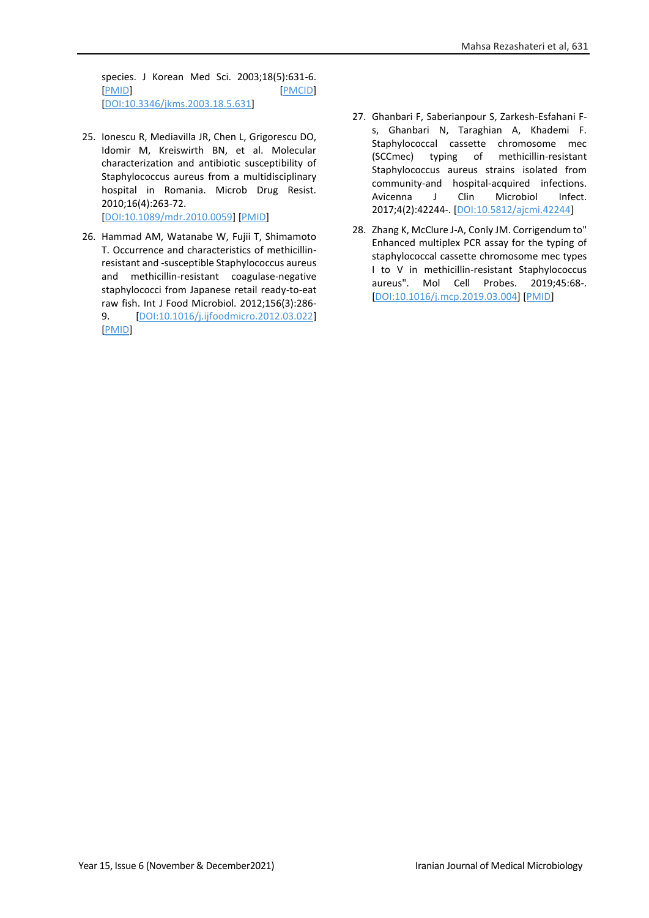species. J Korean Med Sci. 2003;18(5):631-6. [\[PMID\]](https://www.ncbi.nlm.nih.gov/pubmed/14555812) [\[PMCID\]](http://www.ncbi.nlm.nih.gov/pmc/articles/PMC3055104) [\[DOI:10.3346/jkms.2003.18.5.631\]](https://doi.org/10.3346/jkms.2003.18.5.631)

25. Ionescu R, Mediavilla JR, Chen L, Grigorescu DO, Idomir M, Kreiswirth BN, et al. Molecular characterization and antibiotic susceptibility of Staphylococcus aureus from a multidisciplinary hospital in Romania. Microb Drug Resist. 2010;16(4):263-72.

[\[DOI:10.1089/mdr.2010.0059\]](https://doi.org/10.1089/mdr.2010.0059) [\[PMID\]](https://www.ncbi.nlm.nih.gov/pubmed/21034225)

- 26. Hammad AM, Watanabe W, Fujii T, Shimamoto T. Occurrence and characteristics of methicillinresistant and -susceptible Staphylococcus aureus and methicillin-resistant coagulase-negative staphylococci from Japanese retail ready-to-eat raw fish. Int J Food Microbiol. 2012;156(3):286- 9. [\[DOI:10.1016/j.ijfoodmicro.2012.03.022\]](https://doi.org/10.1016/j.ijfoodmicro.2012.03.022) [\[PMID\]](https://www.ncbi.nlm.nih.gov/pubmed/22541390)
- 27. Ghanbari F, Saberianpour S, Zarkesh-Esfahani Fs, Ghanbari N, Taraghian A, Khademi F. Staphylococcal cassette chromosome mec (SCCmec) typing of methicillin-resistant Staphylococcus aureus strains isolated from community-and hospital-acquired infections. Avicenna J Clin Microbiol Infect. 2017;4(2):42244-. [\[DOI:10.5812/ajcmi.42244\]](https://doi.org/10.5812/ajcmi.42244)
- 28. Zhang K, McClure J-A, Conly JM. Corrigendum to" Enhanced multiplex PCR assay for the typing of staphylococcal cassette chromosome mec types I to V in methicillin-resistant Staphylococcus aureus". Mol Cell Probes. 2019;45:68-. [\[DOI:10.1016/j.mcp.2019.03.004\]](https://doi.org/10.1016/j.mcp.2019.03.004) [\[PMID\]](https://www.ncbi.nlm.nih.gov/pubmed/30928192)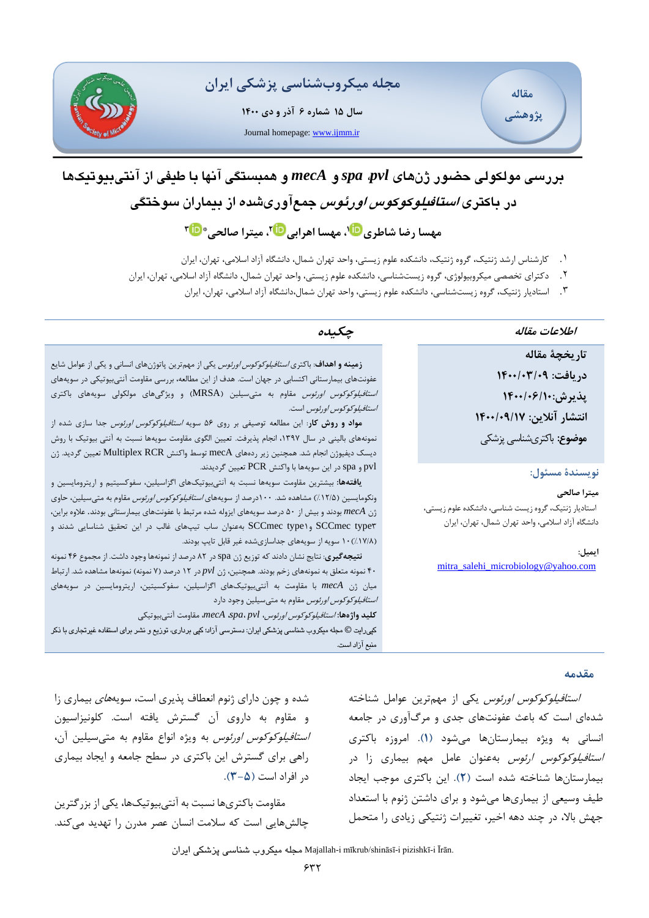

**سال 15 شماره 6 آذر و دی 1400** Journal homepage: [www.ijmm.ir](http://www.ijmm.ir/)





# **بررسی م ولکولی حضور ژن های** *pvl***،** *spa* **و** *mecA* **و همبستگی آنها با طیفی از آنتی بیوتیک ها در باکتری استافیلوکوکوس اورئوس جمع آوری شده از بیماران سوختگی ،<sup>1</sup> مهسا اهرابی ،[2](http://orcid.org/0000000300573290) میترا صالحی\* [3](http://orcid.org/0000000283979415) مهسا رضا شاطر[ی](http://orcid.org/0000000254062050)**

- .1 کارشناس ارشد ژنتیک، گروه ژنتیک، دانشکده علوم ز یستی، واحد تهران شمال، دانشگاه آزاد اسالمی، تهران، ا یران
- ۲ . دکترای تخصصی میکروبیولوژی، گروه زیستشناسی، دانشکده علوم زیستی، واحد تهران شمال، دانشگاه آزاد اسلامی، تهران، ایران
	- ۳. استادیار ژنتیک، گروه زیستشناسی، دانشکده علوم زیستی، واحد تهران شمال،دانشگاه آزاد اسلامی، تهران، ایران

# **اطالعات مقاله چکیده**

**تاریخچۀ مقاله دریافت: 1400/03/09 پذیرش1400/06/10: انتشار آ نالین : /17 1400/09 موضوع:** باکتری شناسی پزشکی

## **نویسندۀ مسئول:**

**میترا صالحی**  استادیار ژنتیک، گروه زیست شناسی، دانشکده علوم زیستی، دانشگاه آزاد اسالمی، واحد تهران شمال، تهران، ایران

**ایمیل:** [mitra\\_salehi\\_microbiology@yahoo.com](mailto:mitra_salehi_microbiology@yahoo.com)

**زمینه و اهداف**: باکتری استافیلوکوکوس اورئوس یکی از مهمترین پاتوژن های انسانی و یکی از عوامل شایع عفونتهای بیمارستانی اکتسابی در جهان است. هدف از این مطالعه، بررسی مقاومت آنتیبیوتیکی در سویههای ا*ستافیلوکوکوس اورئوس* مقاوم به متیسیلین (MRSA) و ویژگیهای مولکولی سویههای باکتری استافیلوکوکوس اورئوس است.

**مواد و روش کار**: این مطالعه توصیفی بر روی 56 سویه استافیلوکوکوس اورئوس جدا سازی شده از نمونههای بالینی در سال ۱۳۹۷، انجام پذیرفت. تعیین الگوی مقاومت سویهها نسبت به آنتی بیوتیک با روش دیسک دیفیوژن انجام شد. همچنین زیر رده های mecA توسط واکنش RCR Multiplex تعیین گردید. ژن pvl و spa در این سویهها با واکنش PCR تعیین گردیدند.

**یافتهها:** بیشترین مقاومت سویهها نسبت به آنتیبیوتیکهای اگزاسیلین، سفوکسیتیم و اریترومایسین و ونکومایسین (۱۲/۵٪) مشاهده شد. ۱۰۰درصد از سویههای *استافیلوکوکوس اورئوس* مقاوم به متیسیلین، حاوی ژن *mecA* بودند و بیش از 50 درصد سویه های ایزوله شده مرتبط با عفونتهای بیمارستانی بودند. عالوه براین، 3type SCCmec و1type SCCmec بهعنوان ساب تیپهای غالب در این تحقیق شناسایی شدند و )/8 %17(10 سویه از سویههای جداسازی شده غیر قابل تایپ بودند.

**نتیجهگیری**: نتایج نشان دادند که توزیع ژن spa در 82 درصد از نمونهها وجود داشت. از مجموع 46 نمونه 40 نمونه متعلق به نمونههای زخم بودند. همچنین، ژن *pvl* در 12 درصد )7 نمونه( نمونهها مشاهده شد. ارتباط میان ژن *mecA* با مقاومت به آنتیبیوتیکهای اگزاسیلین، سفوکسیتین، اریترومایسین در سویههای *استافیلوکوکوس اورئوس* مقاوم به متیسیلین وجود دارد

**کلید واژه ها:** استافیلوکوکوس اورئوس، *pvl* ، *spa*، *mecA*، مقاومت آنتیبیوتیکی

کپی رایت © مجله میکروب شناسی پزشکی ایران : دسترسی آزاد؛ کپی برداری، توزیع و نشر برای استفاده غیرتجاری با ذکر منبع آزاد است.

#### **مقدمه**

استافیلوکوکوس اورئوس یکی از مهمترین عوامل شناخته شدهای است که باعث عفونتهای جدی و مرگآوری در جامعه انسانی به ویژه بیمارستانها میشود **)1(**. امروزه باکتری استافیلوکوکوس ارئوس به عنوان عامل مهم بیماری زا در بیمارستان ها شناخته شده است **)2(**. این باکتری موجب ایجاد طیف وسیعی از بیماری ها میشود و برای داشتن ژنوم با استعداد جهش باال، در چند دهه اخیر، تغییرات ژنتیکی زیادی را متحمل

شده و چون دارای ژنوم انعطاف پذیری است، سویههای بیماری زا و مقاوم به داروی آن گسترش یافته است. کلونیزاسیون استافیلوکوکوس اورئوس به ویژه انواع مقاوم به متیسیلین آن، راهی برای گسترش این باکتری در سطح جامعه و ایجاد بیماری در افراد است **)3-5(**.

مقاومت باکتریها نسبت به آنتیبیوتیک ها، یکی از بزرگترین چالشهایی است که سالمت انسان عصر مدرن را تهدید میکند.

ایران پزشکی شناسی میکروب مجله Majallah-i mīkrub/shināsī-i pizishkī-i Īrān.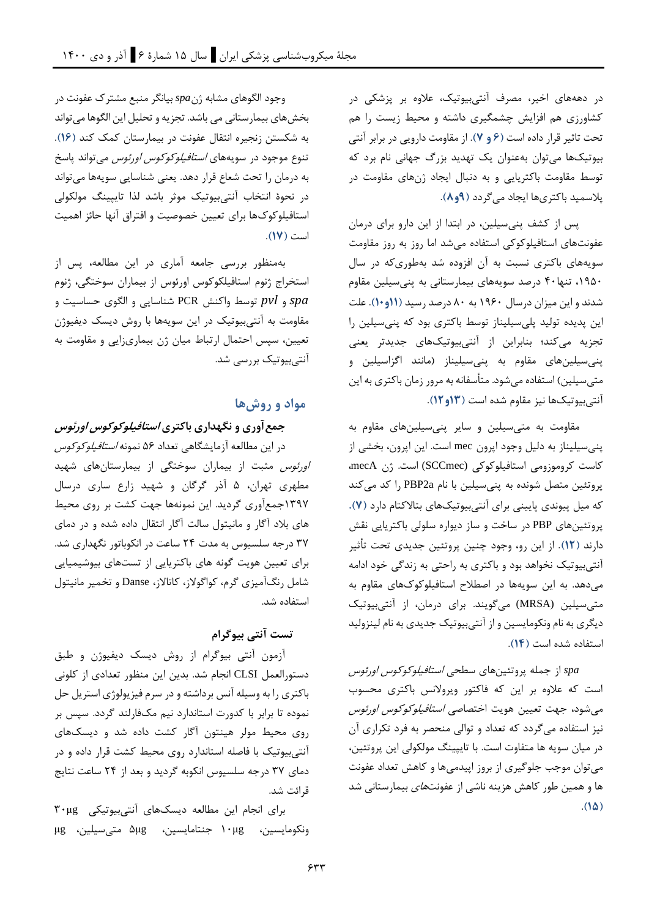در دهههای اخیر، مصرف آنتیبیوتیک، عالوه بر پزشکی در کشاورزی هم افزایش چشمگیری داشته و محیط زیست را هم تحت تاثیر قرار داده است **)6 و 7(**. از مقاومت دارویی در برابر آنتی بیوتیکها میتوان بهعنوان یک تهدید بزرگ جهانی نام برد که توسط مقاومت باکتریایی و به دنبال ایجاد ژنهای مقاومت در پالسمید باکتریها ایجاد میگردد **)9و8(**.

پس از کشف پنیسیلین، در ابتدا از این دارو برای درمان عفونتهای استافیلوکوکی استفاده میشد اما روز به روز مقاومت سویه های باکتری نسبت به آن افزوده شد بهطوری که در سال ۱۹۵۰، تنها۴۰ درصد سویههای بیمارستانی به پنیسیلین مقاوم شدند و این میزان درسال 1960 به 80 درصد رسید **)11و10(**. علت این پدیده تولید پلی سیلیناز توسط باکتری بود که پنی سیلین را تجزیه میکند؛ بنابراین از آنتیبیوتیکهای جدیدتر یعنی پنیسیلینهای مقاوم به پنیسیلیناز )مانند اگزاسیلین و متیسیلین) استفاده میشود. متأسفانه به مرور زمان باکتری به این آنتیبیوتیک ها نیز مقاوم شده است **)13و 12(**.

مقاومت به متیسیلین و سایر پنیسیلینهای مقاوم به پنیسیلیناز به دلیل وجود اپرون mec است. این اپرون، بخشی از کاست کروموزومی استافیلوکوکی (SCCmec (است. ژن mecA، پروتئین متصل شونده به پنیسیلین با نام a2PBP را کد میکند که میل پیوندی پایینی برای آنتیبیوتیک های بتاالکتام دارد **)7(.** پروتئینهای PBP در ساخت و ساز دیواره سلولی باکتریایی نقش دارند **) 12(**. از این رو، وجود چنین پروتئین جدیدی تحت تأثیر آنتیبیوتیک نخواهد بود و باکتری به راحتی به زندگی خود ادامه میدهد. به این سویهها در اصطالح استافیلوکوکهای مقاوم به متیسیلین (MRSA (میگویند. برای درمان، از آنتیبیوتیک دیگری به نام ونکومایسین و از آنتیبیوتیک جدیدی به نام لینزولید استفاده شده است **) 14(**.

*spa* از جمله پروتئین های سطحی استافیلوکوکوس اورئوس است که عالوه بر این که فاکتور ویروالنس باکتری محسوب میشود، جهت تعیین هویت اختصاصی استافیلوکوکوس اورئوس نیز استفاده میگردد که تعداد و توالی منحصر به فرد تکراری آن در میان سویه ها متفاوت است. با تایپینگ مولکولی این پروتئین، میتوان موجب جلوگیری از بروز اپیدمیها و کاهش تعداد عفونت ها و همین طور کاهش هزینه ناشی از عفونته*ای* بیمارستانی شد  $.$ (1 $\Delta$ )

وجود الگوهای مشابه ژن*spa* بیانگر منبع مشترک عفونت در بخشهای بیمارستانی می باشد. تجزیه و تحلیل این الگوها میتواند به شکستن زنجیره انتقال عفونت در بیمارستان کمک کند **)16(**. تنوع موجود در سویههای *استافیلوکوکوس اورئوس* میتواند پاسخ به درمان را تحت شعاع قرار دهد. یعنی شناسایی سویهها میتواند در نحوۀ انتخاب آنتیبیوتیک موثر باشد لذا تایپینگ مولکولی استافیلوکوکها برای تعیین خصوصیت و افتراق آنها حائز اهمیت است **)17(**.

بهمنظور بررسی جامعه آماری در این مطالعه، پس از استخراج ژنوم استافیلکوکوس اورئوس از بیماران سوختگی، ژنوم *spa* و *pvl* توسط واکنش PCR شناسایی و الگوی حساسیت و مقاومت به آنتیبیوتیک در این سویه ها با روش دیسک دیفیوژن تعیین، سپس احتمال ارتباط میان ژن بیماریزایی و مقاومت به آنتیبیوتیک بررسی شد.

# **مواد و روش ها**

**جمع آوری و نگهداری باکتری استافیلوکوکوس اورئوس**

در این مطالعه آزمایشگاهی تعداد 56 نمونه استافیلوکوکوس اورئوس مثبت از بیماران سوختگی از بیمارستانهای شهید مطهری تهران، 5 آذر گرگان و شهید زارع ساری درسال 1397جمع آوری گردید. این نمونهها جهت کشت بر روی محیط های بالد آگار و مانیتول سالت آگار انتقال داده شده و در دمای 37 درجه سلسیوس به مدت 24 ساعت در انکوباتور نگهداری شد. برای تعیین هویت گونه های باکتریایی از تستهای بیوشیمیایی شامل رنگآمیزی گرم، کواگوالز، کاتاالز، Danse و تخمیر مانیتول استفاده شد.

**تست آنتی بیوگرام** 

آزمون آنتی بیوگرام از روش دیسک دیفیوژن و طبق دستورالعمل CLSI انجام شد. بدین این منظور تعدادی از کلونی باکتری را به وسیله آنس برداشته و در سرم فیزیولوژی استریل حل نموده تا برابر با کدورت استاندارد نیم مکفارلند گردد. سپس بر روی محیط مولر هینتون آگار کشت داده شد و دیسکهای آنتیبیوتیک با فاصله استاندارد روی محیط کشت قرار داده و در دمای 37 درجه سلسیوس انکوبه گردید و بعد از 24 ساعت نتایج قرائت شد.

برای انجام این مطالعه دیسک های آنتیبیوتیکی μg30 ونکومایسین، ۱۰μg جنتامایسین، Δμg متی سیلین، μg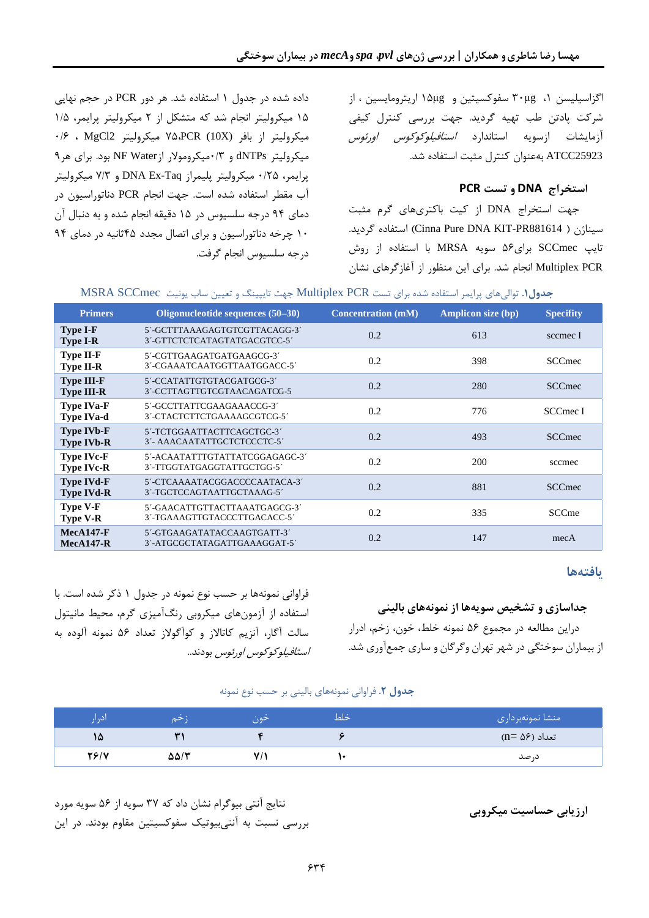اگزاسیلیسن ۰، ۳۰μg سفوکسیتین و ۱۵μg اریترومایسین ، از شرکت پادتن طب تهیه گردید . جهت بررسی کنترل کیفی آزمایشات ازسویه استاندارد *استافیلوکوکوس اورئوس* 25923ATCC بهعنوان کنترل مثبت استفاده شد.

# **استخراج DNA و تست PCR**

جهت استخراج DNA از کیت باکتریهای گرم مثبت . گردید استفاده( Cinna Pure DNA KIT-PR881614 ( سیناژن تایپ SCCmec برای56 سویه MRSA با استفاده از روش PCR Multiplex انجام شد. برای این منظور از آغازگرهای نشان

داده شده در جدول 1 استفاده شد. هر دور PCR در حجم نهایی 15 میکرولیتر انجام شد که متشکل از 2 میکرولیتر پرایمر، 1/5 میکرولیتر از بافر (V۵،PCR (10X) میکرولیتر 2MgCl2 ، ۲۶۰ میکرولیتر dNTPs و ۰/۳میکرومولار ازNF Water بود. برای هر۹ پرایمر، 0/8<br /> میکرولیتر پلیمراز DNA Ex-Taq و 7/3 میکرولیتر آب مقطر استفاده شده است. جهت انجام PCR دناتوراسیون در دمای 94 درجه سلسیوس در 15 دقیقه انجام شده و به دنبال آن 10 چرخه دناتوراس یون و برای اتصال مجدد 45ثانیه در دمای 94 درجه سلسیوس انجام گرفت.

| جموق، توانے،ھای پرایمز استفادہ شدہ برای نسب ۱۷ ، ۱۷۱۵،۱۱۲۵۸ جهت تایپینٹ و تعیین ساب پولیٹ انگلالکت ایک انگلال |                                                               |                           |                           |                  |  |  |  |
|---------------------------------------------------------------------------------------------------------------|---------------------------------------------------------------|---------------------------|---------------------------|------------------|--|--|--|
| <b>Primers</b>                                                                                                | Oligonucleotide sequences (50–30)                             | <b>Concentration (mM)</b> | <b>Amplicon size (bp)</b> | <b>Specifity</b> |  |  |  |
| <b>Type I-F</b><br><b>Type I-R</b>                                                                            | 5'-GCTTTAAAGAGTGTCGTTACAGG-3'<br>3'-GTTCTCTCATAGTATGACGTCC-5' | 0.2                       | 613                       | sccmec I         |  |  |  |
| <b>Type II-F</b><br><b>Type II-R</b>                                                                          | 5'-CGTTGAAGATGATGAAGCG-3'<br>3'-CGAAATCAATGGTTAATGGACC-5'     | 0.2                       | 398                       | <b>SCCmec</b>    |  |  |  |
| <b>Type III-F</b><br><b>Type III-R</b>                                                                        | 5'-CCATATTGTGTACGATGCG-3'<br>3'-CCTTAGTTGTCGTAACAGATCG-5      | 0.2                       | 280                       | <b>SCCmec</b>    |  |  |  |
| <b>Type IVa-F</b><br><b>Type IVa-d</b>                                                                        | 5'-GCCTTATTCGAAGAAACCG-3'<br>3'-CTACTCTTCTGAAAAGCGTCG-5'      | 0.2                       | 776                       | SCCmec I         |  |  |  |
| <b>Type IVb-F</b><br><b>Type IVb-R</b>                                                                        | 5'-TCTGGAATTACTTCAGCTGC-3'<br>3'- AAACAATATTGCTCTCCCTC-5'     | 0.2                       | 493                       | <b>SCCmec</b>    |  |  |  |
| <b>Type IVc-F</b><br><b>Type IVc-R</b>                                                                        | 5'-ACAATATTTGTATTATCGGAGAGC-3'<br>3'-TTGGTATGAGGTATTGCTGG-5'  | 0.2                       | 200                       | sccmec           |  |  |  |
| <b>Type IVd-F</b><br><b>Type IVd-R</b>                                                                        | 5'-CTCAAAATACGGACCCCAATACA-3'<br>3'-TGCTCCAGTAATTGCTAAAG-5'   | 0.2                       | 881                       | <b>SCCmec</b>    |  |  |  |
| <b>Type V-F</b><br><b>Type V-R</b>                                                                            | 5'-GAACATTGTTACTTAAATGAGCG-3'<br>3'-TGAAAGTTGTACCCTTGACACC-5' | 0.2                       | 335                       | SCCme            |  |  |  |
| $MecA147-F$<br>$MecA147-R$                                                                                    | 5'-GTGAAGATATACCAAGTGATT-3'<br>3'-ATGCGCTATAGATTGAAAGGAT-5'   | 0.2                       | 147                       | mecA             |  |  |  |

# **جدول.1** توالیهای پرایمر استفاده شده برای تست PCR Multiplex جهت تایپینگ و تعیین ساب یونیت SCCmec MSRA

# **یافته ها**

**جداسازی و تشخیص سویهها از نمونههای بالینی** دراین مطالعه در مجموع 56 نمونه خلط، خون، زخم، ادرار از بیماران سوختگی در شهر تهران وگرگان و ساری جمعآوری شد.

فراوانی نمونهها بر حسب نوع نمونه در جدول 1 ذکر شده است. با استفاده از آزمون های میکروبی رنگآمیزی گرم، محیط مانیتول سالت آگار، آنزیم کاتاالز و کوآگوالز تعداد 56 نمونه آلوده به استافیلوکوکوس اورئوس بودند..

#### **جدول .2** فراوانی نمونه های بالینی بر حسب نوع نمونه

| اٽ،  |      | حون | حلط | منشا نمونهبردارى |
|------|------|-----|-----|------------------|
| ١۵   |      |     |     | تعداد (۵۶ =n)    |
| 78/V | ۵۵/۳ |     |     | د, صد            |

نتایج آنتی بیوگرام نشان داد که 37 سویه از 56 سویه مورد **ارزیابی حساسیت میکروبی**  بررسی نسبت به آنتی بیوتیک سفوکسیتین مقاوم بودند. در این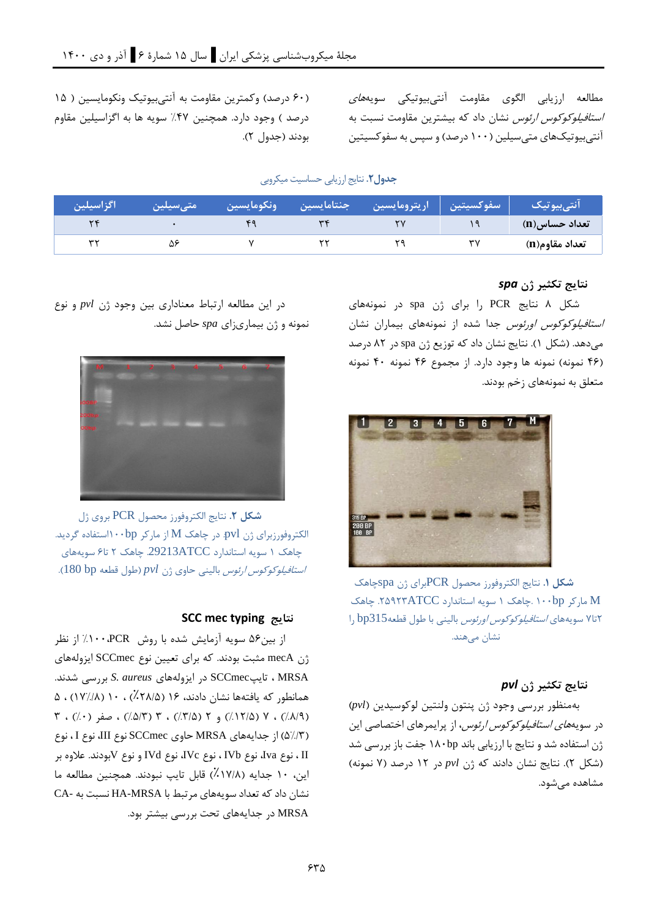مطالعه ارزیابی الگوی مقاومت آنتیبیوتیکی سویه*های* استافیلوکوکوس ارئوس نشان داد که بیشترین مقاومت نسبت به آنتیبیوتیک های متیسیلین )100 درصد( و سپس به سفوکسیتین

(۶۰ درصد) وکمترین مقاومت به آنتیبیوتیک ونکومایسین ( ۱۵ درصد ) وجود دارد. همچنین ۴۷٪ سویه ها به اگزاسیلین مقاوم بودند )جدول 2(.

**جدول .2** نتایج ارزیابی حساسیت میکروبی

| اگزاسیلین | ر مت <i>ی</i> سیلین | رونكومايسين ا | جنتامايسين | ِ سفوکسیتین اریترومایسین |    | انت <sub>ی</sub> بیوتیک |
|-----------|---------------------|---------------|------------|--------------------------|----|-------------------------|
|           |                     |               |            |                          |    | ِ تعداد حساس(n)         |
|           | ۵۶                  |               |            |                          | ٣٧ | تعداد مقاوم(n)          |

# **نتایج تکثیر ژن** *spa*

شکل 8 نتایج PCR را برای ژن spa در نمونههای ا*ستافیلوکوکوس اورئوس جد*ا شده از نمونههای بیماران نشان میدهد. )شکل 1(. نتایج نشان داد که توزیع ژن spa در 82 درصد )46 نمونه( نمونه ها وجود دارد. از مجموع 46 نمونه 40 نمونه متعلق به نمونههای زخم بودند.



**شکل .1** نتایج الکتروفورز محصول PCRبرای ژن spaچاهک M مارکر ۱۰۰bp .چاهک ۱ سویه استاندارد ۲۵۹۲۳ $\text{ATCC}$ . چاهک 2تا7 سویههای استافیلوکوکوس اورئوس بالینی با طول قطعه315bp را نشان می هند.

# **نتایج تکثیر ژن** *pvl*

بهمنظور بررسی وجود ژن پنتون ولنتین لوکوسیدین )*pvl* ) در سویه*های استافیلوکوکوس ارئوس*، از پرایمرهای اختصاصی این ژن استفاده شد و نتایج با ارزیابی باند bp180 جفت باز بررسی شد )شکل 2(. نتایج نشان دادند که ژن *pvl* در 12 درصد )7 نمونه( مشاهده میشود.

در این مطالعه ارتباط معناداری بین وجود ژن *pvl* و نوع نمونه و ژن بیماری زای *spa* حاصل نشد.



**شکل .2** نتایج الکتروفورز محصول PCR بروی ژل الکتروفورزبرای ژن pvl. در چاهک M از مارکر ۱۰۰bp/۱۰۰bp گردید. چاهک 1 سویه استاندارد ATCC.29213 چاهک 2 تا6 سویههای استافیلوکوکوس ارئوس بالینی حاوی ژن *pvl*( طول قطعه bp 180).

# **SCC mec typing نتایج**

از بین56 سویه آزمایش شده با روش PCR%100، از نظر ژن mecA مثبت بودند. که برای تعیین نوع SCCmec ایزولههای MRSA ، تایپSCCmec در ایزولههای *aureus .S* بررسی شدند . همانطور که یافتهها نشان دادند، ۱۶ (۲۸/۵٪) ، ۱۰ (۱۷٪/۱۸) ، ۵ ( ۱۲/۵٪) ، ۷ (۱۲/۵٪) و ۲ (۲/۵٪) ، ۳ (۵/۳٪) ، صفر ( ۰٪) ، ۳ )5%/3( از جدایههای MRSA حاوی SCCmec نوع III، نوع I ، نوع II ، نوع Iva، نوع IVb ، نوع IVc، نوع IVd و نوع Vبودند. عالوه بر این، ۱۰ جدایه (۱۷/۸٪) قابل تایپ نبودند. همچنین مطالعه ما نشان داد که تعداد سویههای مرتبط با MRSA-HA نسبت به -CA MRSA در جدایههای تحت بررسی بیشتر بود.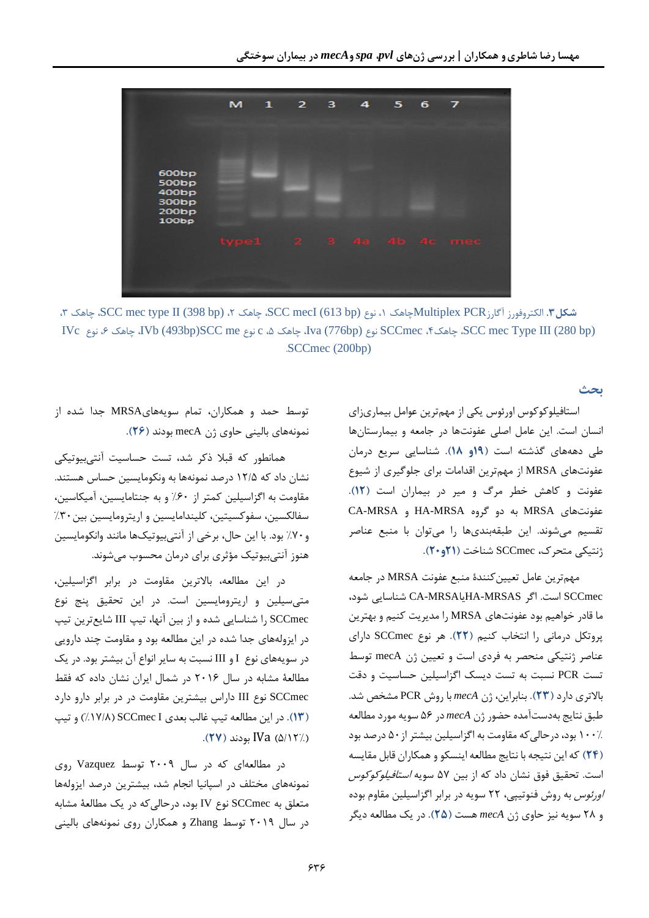

،3 چاهک ،SCC mec type II (398 bp) ،2 چاهک ،SCC mecI (613 bp) نوع ،1 چاهکMultiplex PCR آگارز کتروفورز ال **.3شکل** IVc نوع ،6 چاهک ،IVb (493bp)SCC me نوع c ،5 چاهک ،Iva (776bp) نوع SCCmec ،4چاهک ،SCC mec Type III (280 bp) .SCCmec (200bp)

**بحث** 

استافیلوکوکوس اورئوس یکی از مهمترین عوامل بیماریزای انسان است. این عامل اصلی عفونتها در جامعه و بیمارستانها طی دهههای گذشته است **)19و 18(**. شناسایی سریع درمان عفونتهای MRSA از مهمترین اقدامات برای جلوگیری از شیوع عفونت و کاهش خطر مرگ و میر در بیماران است **)12(**. عفونتهای MRSA به دو گروه MRSA-HA و MRSA-CA تقسیم میشوند. این طبقه بندیها را میتوان با منبع عناصر ژنتیکی متحرک، SCCmec شناخت **)21و20(**.

مهمترین عامل تعیینکنندۀ منبع عفونت MRSA در جامعه SCCmec است. اگر MRSAS-HAیا MRSA-CA شناسایی شود، ما قادر خواهیم بود عفونتهای MRSA را مدیریت کنیم و بهترین پروتکل درمان ی را انتخاب کنیم **)22(**. هر نوع SCCmec دارای عناصر ژنتیکی منحصر به فردی است و تعیین ژن mecA توسط تست PCR نسبت به تست دیسک اگزاسیلین حساسیت و دقت باالتری دارد **)23(**. بنابراین، ژن *mecA* با روش PCR مشخص شد. طبق نتایج بهدستآمده حضور ژن *mecA* در 56 سویه مورد مطالعه 100% بود، درحالیکه مقاومت به اگزاسیلین بیشتر از 50 درصد بود **)24(** که این نتیجه با نتایج مطالعه اینسکو و همکاران قابل مقایسه است. تحقیق فوق نشان داد که از بین 57 سویه استافیلوکوکوس اورئوس به روش فنوتیپی، 22 سویه در برابر اگزاسیلین مقاوم بوده و 28 سویه نیز حاوی ژن *mecA* هست **)25(**. در یک مطالعه دیگر

توسط حمد و همکاران، تمام سویه هایMRSA جدا شده از نمونه های بالینی حاوی ژن mecA بودند **)26(**.

همانطور که قبال ذکر شد، تست حساسیت آنتیبیوتیکی نشان داد که 12/5 درصد نمونهها به ونکومایسین حساس هستند. مقاومت به اگزاسیلین کمتر از %60 و به جنتامایسین، آمیکاسین، سفالکسین، سفوکسیتین، کلیندامایسین و اریترومایسین بین ۳۰٪ و%70 بود. با این حال، برخی از آنتیبیوتیک ها مانند وانکومایسین هنوز آنتیبیوتیک مؤثری برای درمان محسوب میشوند.

در این مطالعه، باالترین مقاومت در برابر اگزاسیلین، متیسیلین و اریترومایسین است. در این تحقیق پنج نوع SCCmec را شناسایی شده و از بی ن آنها، تیپ III شا یعترین تیپ در ایزوله های جدا شده در این مطالعه بود و مقاومت چند دارویی در سویه های نوع I و III نسبت به سایر انواع آن بیشتر بود. در یک مطالعۀ مشابه در سال 2016 در شمال ایران نشان داده که فقط SCCmec نوع III داراس بیشتری ن مقاومت در در برابر دارو دارد **)13(**. در این مطالعه تیپ غالب بعدی I SCCmec( %17/8 )و تیپ )5/12%( IVa بودند **)27(**.

در مطالعهای که در سال 2009 توسط Vazquez روی نمونه های مختلف در اسپانی ا انجام شد، بیشترین درصد ایزولهها متعلق به SCCmec نوع IV بود، درحالیکه در یک مطالعۀ مشابه در سال 2019 توسط Zhang و همکاران روی نمونه های بالینی